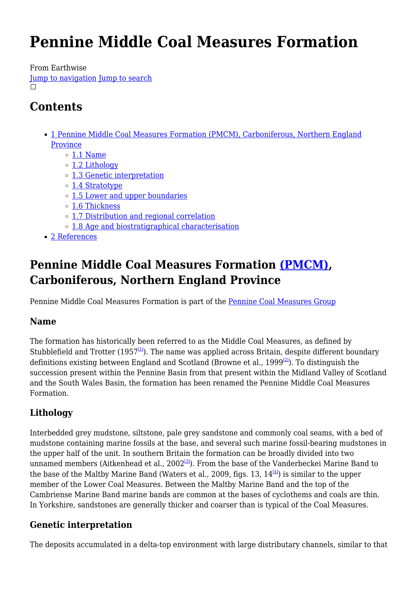# **Pennine Middle Coal Measures Formation**

From Earthwise

[Jump to navigation](#page--1-0) [Jump to search](#page--1-0)  $\Box$ 

## **Contents**

- [1](#Pennine_Middle_Coal_Measures_Formation_.28PMCM.29.2C_Carboniferous.2C_Northern_England_Province) [Pennine Middle Coal Measures Formation \(PMCM\), Carboniferous, Northern England](#Pennine_Middle_Coal_Measures_Formation_.28PMCM.29.2C_Carboniferous.2C_Northern_England_Province) [Province](#Pennine_Middle_Coal_Measures_Formation_.28PMCM.29.2C_Carboniferous.2C_Northern_England_Province)
	- $\circ$  [1.1](#page--1-0) [Name](#page--1-0)
	- o [1.2](#page--1-0) [Lithology](#page--1-0)
	- [1.3](#page--1-0) [Genetic interpretation](#page--1-0)
	- [1.4](#page--1-0) [Stratotype](#page--1-0)
	- [1.5](#page--1-0) [Lower and upper boundaries](#page--1-0)
	- [1.6](#page--1-0) [Thickness](#page--1-0)
	- [1.7](#page--1-0) [Distribution and regional correlation](#page--1-0)
	- [1.8](#page--1-0) [Age and biostratigraphical characterisation](#page--1-0)
- [2](#page--1-0) [References](#page--1-0)

## **Pennine Middle Coal Measures Formation [\(PMCM\)](http://www.bgs.ac.uk/lexicon/lexicon.cfm?pub=PMCM), Carboniferous, Northern England Province**

Pennine Middle Coal Measures Formation is part of the [Pennine Coal Measures Group](http://earthwise.bgs.ac.uk/index.php?title=Pennine_Coal_Measures_Group&action=edit&redlink=1)

## **Name**

The formation has historically been referred to as the Middle Coal Measures, as defined by Stubblefield and Trotter (1957 $\frac{11}{2}$ ). The name was applied across Britain, despite different boundary definitions existing between England and Scotland (Browne et al., 1999<sup>[\[2\]](#page--1-0)</sup>). To distinguish the succession present within the Pennine Basin from that present within the Midland Valley of Scotland and the South Wales Basin, the formation has been renamed the Pennine Middle Coal Measures Formation.

## **Lithology**

Interbedded grey mudstone, siltstone, pale grey sandstone and commonly coal seams, with a bed of mudstone containing marine fossils at the base, and several such marine fossil-bearing mudstones in the upper half of the unit. In southern Britain the formation can be broadly divided into two unnamed members (Aitkenhead et al.,  $2002^{3}$ ). From the base of the Vanderbeckei Marine Band to the base of the Maltby Marine Band (Waters et al., 2009, figs. 13,  $14^{\frac{[4]}{3}}$  $14^{\frac{[4]}{3}}$  $14^{\frac{[4]}{3}}$ ) is similar to the upper member of the Lower Coal Measures. Between the Maltby Marine Band and the top of the Cambriense Marine Band marine bands are common at the bases of cyclothems and coals are thin. In Yorkshire, sandstones are generally thicker and coarser than is typical of the Coal Measures.

## **Genetic interpretation**

The deposits accumulated in a delta-top environment with large distributary channels, similar to that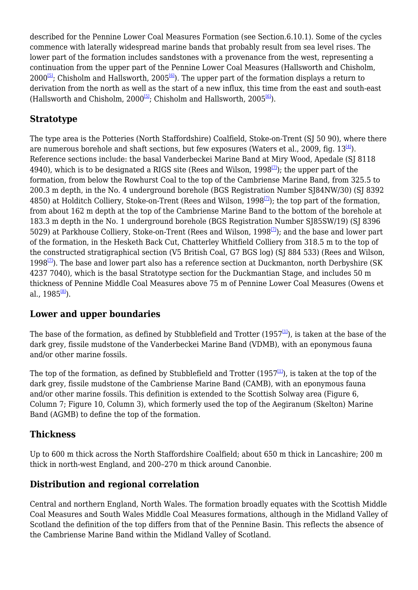described for the Pennine Lower Coal Measures Formation (see Section.6.10.1). Some of the cycles commence with laterally widespread marine bands that probably result from sea level rises. The lower part of the formation includes sandstones with a provenance from the west, representing a continuation from the upper part of the Pennine Lower Coal Measures (Hallsworth and Chisholm,  $2000^{5}$ ; Chisholm and Hallsworth,  $2005^{6}$ . The upper part of the formation displays a return to derivation from the north as well as the start of a new influx, this time from the east and south-east (Hallsworth and Chisholm,  $2000^{5}$ ; Chisholm and Hallsworth,  $2005^{6}$ ).

## **Stratotype**

The type area is the Potteries (North Staffordshire) Coalfield, Stoke-on-Trent (SJ 50 90), where there are numerous borehole and shaft sections, but few exposures (Waters et al., 2009, fig.  $13^{\text{H}}$ ). Reference sections include: the basal Vanderbeckei Marine Band at Miry Wood, Apedale (SJ 8118) 4940), which is to be designated a RIGS site (Rees and Wilson,  $1998^{[7]}$  $1998^{[7]}$  $1998^{[7]}$ ); the upper part of the formation, from below the Rowhurst Coal to the top of the Cambriense Marine Band, from 325.5 to 200.3 m depth, in the No. 4 underground borehole (BGS Registration Number SJ84NW/30) (SJ 8392 4850) at Holditch Colliery, Stoke-on-Trent (Rees and Wilson, 1998<sup>[\[7\]](#page--1-0)</sup>); the top part of the formation, from about 162 m depth at the top of the Cambriense Marine Band to the bottom of the borehole at 183.3 m depth in the No. 1 underground borehole (BGS Registration Number SJ85SW/19) (SJ 8396 5029) at Parkhouse Colliery, Stoke-on-Trent (Rees and Wilson, 1998<sup>[\[7\]](#page--1-0)</sup>); and the base and lower part of the formation, in the Hesketh Back Cut, Chatterley Whitfield Colliery from 318.5 m to the top of the constructed stratigraphical section (V5 British Coal, G7 BGS log) (SJ 884 533) (Rees and Wilson, 1998 $\frac{[7]}{[7]}$  $\frac{[7]}{[7]}$  $\frac{[7]}{[7]}$ ). The base and lower part also has a reference section at Duckmanton, north Derbyshire (SK) 4237 7040), which is the basal Stratotype section for the Duckmantian Stage, and includes 50 m thickness of Pennine Middle Coal Measures above 75 m of Pennine Lower Coal Measures (Owens et al.,  $1985^{\text{B}}$ ).

### **Lower and upper boundaries**

The base of the formation, as defined by Stubblefield and Trotter (1957 $\frac{1}{1}$ ), is taken at the base of the dark grey, fissile mudstone of the Vanderbeckei Marine Band (VDMB), with an eponymous fauna and/or other marine fossils.

The top of the formation, as defined by Stubblefield and Trotter (1957 $\frac{1}{1}$ ), is taken at the top of the dark grey, fissile mudstone of the Cambriense Marine Band (CAMB), with an eponymous fauna and/or other marine fossils. This definition is extended to the Scottish Solway area (Figure 6, Column 7; Figure 10, Column 3), which formerly used the top of the Aegiranum (Skelton) Marine Band (AGMB) to define the top of the formation.

### **Thickness**

Up to 600 m thick across the North Staffordshire Coalfield; about 650 m thick in Lancashire; 200 m thick in north-west England, and 200–270 m thick around Canonbie.

## **Distribution and regional correlation**

Central and northern England, North Wales. The formation broadly equates with the Scottish Middle Coal Measures and South Wales Middle Coal Measures formations, although in the Midland Valley of Scotland the definition of the top differs from that of the Pennine Basin. This reflects the absence of the Cambriense Marine Band within the Midland Valley of Scotland.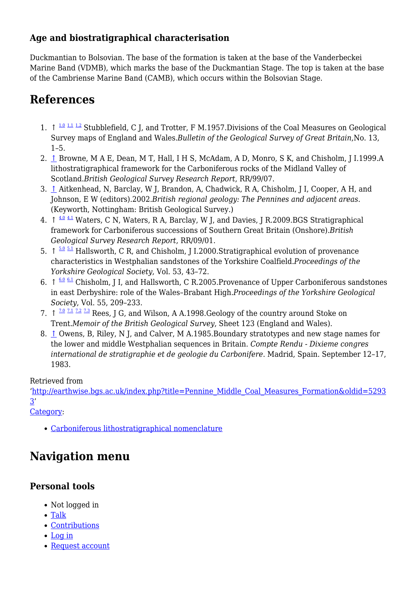## **Age and biostratigraphical characterisation**

Duckmantian to Bolsovian. The base of the formation is taken at the base of the Vanderbeckei Marine Band (VDMB), which marks the base of the Duckmantian Stage. The top is taken at the base of the Cambriense Marine Band (CAMB), which occurs within the Bolsovian Stage.

## **References**

- 1.  $\uparrow$   $\frac{1.0 \text{ } 1.1 \text{ } 1.2 \text{ } 1.1 \text{ } 1.2 \text{ } }$  $\frac{1.0 \text{ } 1.1 \text{ } 1.2 \text{ } 1.1 \text{ } 1.2 \text{ } }$  $\frac{1.0 \text{ } 1.1 \text{ } 1.2 \text{ } 1.1 \text{ } 1.2 \text{ } }$  $\frac{1.0 \text{ } 1.1 \text{ } 1.2 \text{ } 1.1 \text{ } 1.2 \text{ } }$  $\frac{1.0 \text{ } 1.1 \text{ } 1.2 \text{ } 1.1 \text{ } 1.2 \text{ } }$  $\frac{1.0 \text{ } 1.1 \text{ } 1.2 \text{ } 1.1 \text{ } 1.2 \text{ } }$  $\frac{1.0 \text{ } 1.1 \text{ } 1.2 \text{ } 1.1 \text{ } 1.2 \text{ } }$  Stubblefield, C I, and Trotter, F M.1957. Divisions of the Coal Measures on Geological Survey maps of England and Wales.*Bulletin of the Geological Survey of Great Britain*,No. 13,  $1-5.$
- 2. [↑](#page--1-0) Browne, M A E, Dean, M T, Hall, I H S, McAdam, A D, Monro, S K, and Chisholm, J I.1999.A lithostratigraphical framework for the Carboniferous rocks of the Midland Valley of Scotland.*British Geological Survey Research Report*, RR/99/07.
- 3. [↑](#page--1-0) Aitkenhead, N, Barclay, W J, Brandon, A, Chadwick, R A, Chisholm, J I, Cooper, A H, and Johnson, E W (editors).2002.*British regional geology: The Pennines and adjacent areas*. (Keyworth, Nottingham: British Geological Survey.)
- ↑ [4.0](#page--1-0) [4.1](#page--1-0) 4. Waters, C N, Waters, R A, Barclay, W J, and Davies, J R.2009.BGS Stratigraphical framework for Carboniferous successions of Southern Great Britain (Onshore).*British Geological Survey Research Report*, RR/09/01.
- 5.  $\uparrow$   $\frac{5.0 \text{ } 5.1 \text{ }}{2}$  $\frac{5.0 \text{ } 5.1 \text{ }}{2}$  $\frac{5.0 \text{ } 5.1 \text{ }}{2}$  $\frac{5.0 \text{ } 5.1 \text{ }}{2}$  $\frac{5.0 \text{ } 5.1 \text{ }}{2}$  Hallsworth, C R, and Chisholm, J I.2000.Stratigraphical evolution of provenance characteristics in Westphalian sandstones of the Yorkshire Coalfield.*Proceedings of the Yorkshire Geological Society*, Vol. 53, 43–72.
- 6.  $\uparrow \frac{6.0 \text{ } 6.1 \text{ } C}$  $\uparrow \frac{6.0 \text{ } 6.1 \text{ } C}$  $\uparrow \frac{6.0 \text{ } 6.1 \text{ } C}$  $\uparrow \frac{6.0 \text{ } 6.1 \text{ } C}$  $\uparrow \frac{6.0 \text{ } 6.1 \text{ } C}$  Chisholm, J I, and Hallsworth, C R.2005. Provenance of Upper Carboniferous sandstones in east Derbyshire: role of the Wales–Brabant High.*Proceedings of the Yorkshire Geological Society*, Vol. 55, 209–233.
- 7.  $\uparrow$  <sup>[7.0](#page--1-0) [7.1](#page--1-0) [7.2](#page--1-0) [7.3](#page--1-0)</sup> Rees, J G, and Wilson, A A.1998. Geology of the country around Stoke on Trent.*Memoir of the British Geological Survey*, Sheet 123 (England and Wales).
- 8. [↑](#page--1-0) Owens, B, Riley, N J, and Calver, M A.1985. Boundary stratotypes and new stage names for the lower and middle Westphalian sequences in Britain. *Compte Rendu - Dixieme congres international de stratigraphie et de geologie du Carbonifere*. Madrid, Spain. September 12–17, 1983.

#### Retrieved from

'[http://earthwise.bgs.ac.uk/index.php?title=Pennine\\_Middle\\_Coal\\_Measures\\_Formation&oldid=5293](http://earthwise.bgs.ac.uk/index.php?title=Pennine_Middle_Coal_Measures_Formation&oldid=52933)  $3'$ 

[Category](http://earthwise.bgs.ac.uk/index.php/Special:Categories):

[Carboniferous lithostratigraphical nomenclature](http://earthwise.bgs.ac.uk/index.php/Category:Carboniferous_lithostratigraphical_nomenclature)

## **Navigation menu**

## **Personal tools**

- Not logged in
- [Talk](http://earthwise.bgs.ac.uk/index.php/Special:MyTalk)
- [Contributions](http://earthwise.bgs.ac.uk/index.php/Special:MyContributions)
- [Log in](http://earthwise.bgs.ac.uk/index.php?title=Special:UserLogin&returnto=Pennine+Middle+Coal+Measures+Formation&returntoquery=action%3Dmpdf)
- [Request account](http://earthwise.bgs.ac.uk/index.php/Special:RequestAccount)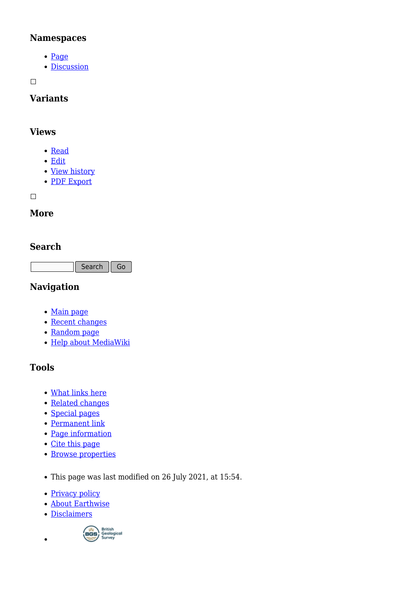### **Namespaces**

- [Page](http://earthwise.bgs.ac.uk/index.php/Pennine_Middle_Coal_Measures_Formation)
- [Discussion](http://earthwise.bgs.ac.uk/index.php?title=Talk:Pennine_Middle_Coal_Measures_Formation&action=edit&redlink=1)

 $\Box$ 

## **Variants**

### **Views**

- [Read](http://earthwise.bgs.ac.uk/index.php/Pennine_Middle_Coal_Measures_Formation)
- [Edit](http://earthwise.bgs.ac.uk/index.php?title=Pennine_Middle_Coal_Measures_Formation&action=edit)
- [View history](http://earthwise.bgs.ac.uk/index.php?title=Pennine_Middle_Coal_Measures_Formation&action=history)
- [PDF Export](http://earthwise.bgs.ac.uk/index.php?title=Pennine_Middle_Coal_Measures_Formation&action=mpdf)

 $\Box$ 

## **More**

## **Search**

Search Go

## **Navigation**

- [Main page](http://earthwise.bgs.ac.uk/index.php/Main_Page)
- [Recent changes](http://earthwise.bgs.ac.uk/index.php/Special:RecentChanges)
- [Random page](http://earthwise.bgs.ac.uk/index.php/Special:Random)
- [Help about MediaWiki](https://www.mediawiki.org/wiki/Special:MyLanguage/Help:Contents)

## **Tools**

- [What links here](http://earthwise.bgs.ac.uk/index.php/Special:WhatLinksHere/Pennine_Middle_Coal_Measures_Formation)
- [Related changes](http://earthwise.bgs.ac.uk/index.php/Special:RecentChangesLinked/Pennine_Middle_Coal_Measures_Formation)
- [Special pages](http://earthwise.bgs.ac.uk/index.php/Special:SpecialPages)
- [Permanent link](http://earthwise.bgs.ac.uk/index.php?title=Pennine_Middle_Coal_Measures_Formation&oldid=52933)
- [Page information](http://earthwise.bgs.ac.uk/index.php?title=Pennine_Middle_Coal_Measures_Formation&action=info)
- [Cite this page](http://earthwise.bgs.ac.uk/index.php?title=Special:CiteThisPage&page=Pennine_Middle_Coal_Measures_Formation&id=52933)
- [Browse properties](http://earthwise.bgs.ac.uk/index.php/Special:Browse/:Pennine-5FMiddle-5FCoal-5FMeasures-5FFormation)
- This page was last modified on 26 July 2021, at 15:54.
- [Privacy policy](http://earthwise.bgs.ac.uk/index.php/Earthwise:Privacy_policy)
- [About Earthwise](http://earthwise.bgs.ac.uk/index.php/Earthwise:About)
- [Disclaimers](http://earthwise.bgs.ac.uk/index.php/Earthwise:General_disclaimer)